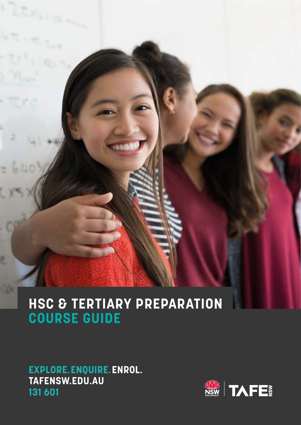2

**JA** 

# **HSC & TERTIARY PREPARATION COURSE GUIDE**

## **EXPLORE.ENQUIRE.ENROL. [TAFENSW.EDU.AU](http://TAFENSW.EDU.AU) 131 601**

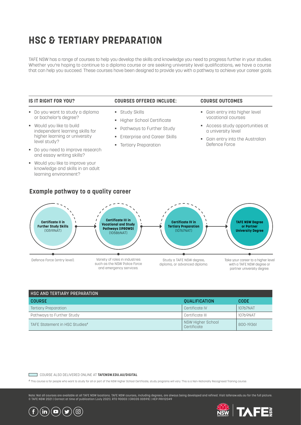# **HSC & TERTIARY PREPARATION**

TAFE NSW has a range of courses to help you develop the skills and knowledge you need to progress further in your studies. Whether you're hoping to continue to a diploma course or are seeking university level qualifications, we have a course that can help you succeed. These courses have been designed to provide you with a pathway to achieve your career goals.

#### **IS IT RIGHT FOR YOU?**

- § Do you want to study a diploma or bachelor's degree?
- § Would you like to build independent learning skills for higher learning or university level study?
- § Do you need to improve research and essay writing skills?
- § Would you like to improve your knowledge and skills in an adult learning environment?

#### **COURSES OFFERED INCLUDE:**

- § Study Skills
- § Higher School Certificate
- § Pathways to Further Study
- § Enterprise and Career Skills
- **•** Tertiary Preparation

#### **COURSE OUTCOMES**

- Gain entry into higher level vocational courses
- § Access study opportunities at a university level
- Gain entry into the Australian Defence Force



| <b>HSC AND TERTIARY PREPARATION</b> |                                  |             |
|-------------------------------------|----------------------------------|-------------|
| <b>COURSE</b>                       | <b>QUALIFICATION</b>             | <b>CODE</b> |
| <b>Tertiary Preparation</b>         | Certificate IV                   | 10767NAT    |
| Pathways to Further Study           | Certificate III                  | 10769NAT    |
| TAFE Statement in HSC Studies#      | NSW Higher School<br>Certificate | 800-19361   |

#### COURSE ALSO DELIVERED ONLINE AT **[TAFENSW.EDU.AU/DIGITAL](http://TAFENSW.EDU.AU/DIGITAL)**  $\Box$

# This course is for people who want to study for all or part of the NSW Higher School Certificate; study programs will vary. This is a Non-Nationally Recognised Training course.

Note: Not all courses are available at all TAFE NSW locations. TAFE NSW courses, including degrees, are always being developed and refined. Visit [tafensw.edu.au](https://www.tafensw.edu.au/) for the full picture.<br>© TAFE NSW 2021 | Correct at time of pu



TА ▐▆▆

#### **Example pathway to a quality career**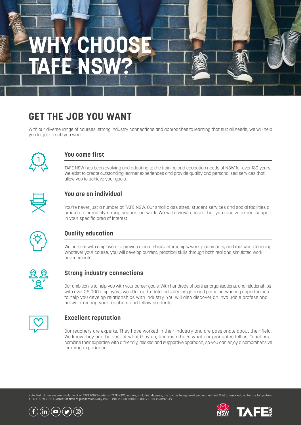# **WGHOO FE NS**

# **GET THE JOB YOU WANT**

With our diverse range of courses, strong industry connections and approaches to learning that suit all needs, we will help you to get the job you want.



### **You come first**

TAFE NSW has been evolving and adapting to the training and education needs of NSW for over 130 years. We exist to create outstanding learner experiences and provide quality and personalised services that allow you to achieve your goals.



## **You are an individual**

You're never just a number at TAFE NSW. Our small class sizes, student services and social facilities all create an incredibly strong support network. We will always ensure that you receive expert support in your specific area of interest.



## **Quality education**

We partner with employers to provide mentorships, internships, work placements, and real world learning. Whatever your course, you will develop current, practical skills through both real and simulated work environments.



### **Strong industry connections**

Our ambition is to help you with your career goals. With hundreds of partner organisations, and relationships with over 25,000 employers, we offer up-to-date industry insights and prime networking opportunities to help you develop relationships with industry. You will also discover an invaluable professional network among your teachers and fellow students.



## **Excellent reputation**

Our teachers are experts. They have worked in their industry and are passionate about their field. We know they are the best at what they do, because that's what our graduates tell us. Teachers combine their expertise with a friendly, relaxed and supportive approach, so you can enjoy a comprehensive learning experience.

Note: Not all courses are available at all TAFE NSW locations. TAFE NSW courses, including degrees, are always being developed and refined. Visit [tafensw.edu.au](https://www.tafensw.edu.au/) for the full picture.<br>© TAFE NSW 2021 | Correct at time of pu



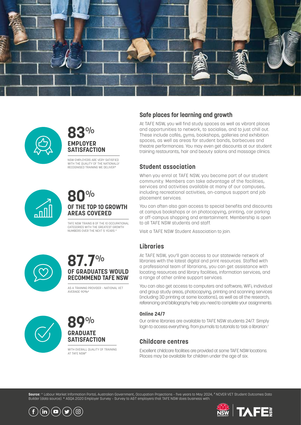



## **83**% **EMPLOYER SATISFACTION**

NSW EMPLOYERS ARE VERY SATISFIED WITH THE QUALITY OF THE NATIONALLY RECOGNISED TRAINING WE DELIVER\*



## **80**% **OF THE TOP 10 GROWTH AREAS COVERED**

TAFE NSW TRAINS 8 OF THE 10 OCCUPATIONAL CATEGORIES WITH THE GREATEST GROWTH NUMBERS OVER THE NEXT 5 YEARS.<sup>^</sup>



## **87.7**% **OF GRADUATES WOULD RECOMMEND TAFE NSW**

AS A TRAINING PROVIDER – NATIONAL VET AVERAGE 00%





WITH OVERALL OUALITY OF TRAINING AT TAFE NSW#

### **Safe places for learning and growth**

At TAFE NSW, you will find study spaces as well as vibrant places and opportunities to network, to socialise, and to just chill out. These include cafés, gyms, bookshops, galleries and exhibition spaces, as well as areas for student bands, barbecues and theatre performances. You may even get discounts at our student training restaurants, hair and beauty salons and massage clinics.

#### **Student association**

When you enrol at TAFE NSW, you become part of our student community. Members can take advantage of the facilities, services and activities available at many of our campuses, including recreational activities, on-campus support and job placement services.

You can often also gain access to special benefits and discounts at campus bookshops or on photocopying, printing, car parking or off-campus shopping and entertainment. Membership is open to all TAFE NSW students and staff.

Visit a TAFE NSW Student Association to join.

### **Libraries**

At TAFE NSW, you'll gain access to our statewide network of libraries with the latest digital and print resources. Staffed with a professional team of librarians, you can get assistance with locating resources and library facilities, information services, and a range of other online support services.

You can also get access to computers and software, WiFi, individual and group study areas, photocopying, printing and scanning services (including 3D printing at some locations), as well as all the research, referencing and bibliography help you need to complete your assignments.

#### **Online 24/7**

Our online libraries are available to TAFE NSW students 24/7. Simply login to access everything, from journals to tutorials to 'ask a librarian.'

#### **Childcare centres**

Excellent childcare facilities are provided at some TAFE NSW locations. Places may be available for children under the age of six.

**Source:** ^ Labour Market Information Portal, Australian Government, Occupation Projections – five years to May 2024, # NCVER VET Student Outcomes Data Builder (data source). \* ASQA 2020 Employer Survey – Survey to A&T employers that TAFE NSW does business with.



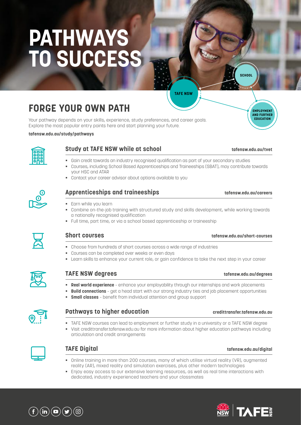# **PATHWAYS TO SUCCESS**

**FORGE YOUR OWN PATH**

Your pathway depends on your skills, experience, study preferences, and career goals. Explore the most popular entry points here and start planning your future.

#### **tafensw.edu.au/study/pathways**



#### **Study at TAFE NSW while at school [tafensw.edu.au/tvet](https://www.tafensw.edu.au/study/types-courses/tvet)**

- § Gain credit towards an industry recognised qualification as part of your secondary studies
- § Courses, including School Based Apprenticeships and Traineeships (SBAT), may contribute towards your HSC and ATAR

**TAFE NSW**

■ Contact your career advisor about options available to you

#### **Apprenticeships and traineeships [tafensw.edu.au/careers](https://www.tafensw.edu.au/study/types-courses/apprenticeships-traineeships)**

- § Earn while you learn
- § Combine on-the-job training with structured study and skills development, while working towards a nationally recognised qualification
- Full time, part time, or via a school based apprenticeship or traineeship



- § Choose from hundreds of short courses across a wide range of industries
- § Courses can be completed over weeks or even days
- Learn skills to enhance your current role, or gain confidence to take the next step in your career



#### **TAFE NS [tafensw.edu.au/degrees](https://www.tafensw.edu.au/degrees)**

- **Real world experience** enhance your employability through our internships and work placements
- **Build connections** get a head start with our strong industry ties and job placement opportunities
	- § **Small classes** benefit from individual attention and group support



#### **Pathways to higher education [credittransfer.tafensw.edu.au](https://credittransfer.tafensw.edu.au/)**

- TAFE NSW courses can lead to employment or further study in a university or a TAFE NSW degree
- § Visit credittransfer.tafensw.edu.au for more information about higher education pathways including articulation and credit arrangements



#### **TAFE Digital [tafensw.edu.au/digital](https://www.tafensw.edu.au/digital)**

- § Online training in more than 200 courses, many of which utilise virtual reality (VR), augmented reality (AR), mixed reality and simulation exercises, plus other modern technologies
- § Enjoy easy access to our extensive learning resources, as well as real time interactions with dedicated, industry experienced teachers and your classmates







**SCHOOL**

**EMPLOYMENT AND FURTHER EDUCATION**

#### **Short courses [tafensw.edu.au/short-courses](https://www.tafensw.edu.au/short-courses)**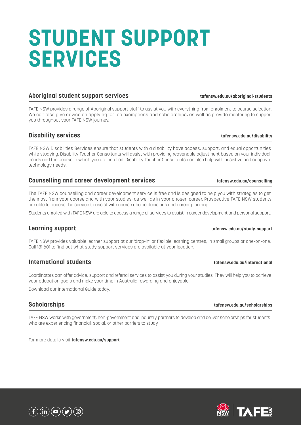# **STUDENT SUPPORT SERVICES**

#### **Aboriginal student support services [tafensw.edu.au/aboriginal-students](https://www.tafensw.edu.au/student-services/aboriginal-students)**

TAFE NSW provides a range of Aboriginal support staff to assist you with everything from enrolment to course selection. We can also give advice on applying for fee exemptions and scholarships, as well as provide mentoring to support you throughout your TAFE NSW journey.

#### **Disability services [tafensw.edu.au/disability](https://www.tafensw.edu.au/student-services/disability-services)**

TAFE NSW Disabilities Services ensure that students with a disability have access, support, and equal opportunities while studying. Disability Teacher Consultants will assist with providing reasonable adjustment based on your individual needs and the course in which you are enrolled. Disability Teacher Consultants can also help with assistive and adaptive technology needs.

#### **Counselling and career development services the counselling** the tatensw.edu.au/counselling

The TAFE NSW counselling and career development service is free and is designed to help you with strategies to get the most from your course and with your studies, as well as in your chosen career. Prospective TAFE NSW students are able to access the service to assist with course choice decisions and career planning.

Students enrolled with TAFE NSW are able to access a range of services to assist in career development and personal support.

TAFE NSW provides valuable learner support at our 'drop-in' or flexible learning centres, in small groups or one-on-one. Call 131 601 to find out what study support services are available at your location.

#### **International students [tafensw.edu.au/international](https://www.tafensw.edu.au/international)**

Coordinators can offer advice, support and referral services to assist you during your studies. They will help you to achieve your education goals and make your time in Australia rewarding and enjoyable.

Download our International Guide today.

### **Scholarships [tafensw.edu.au/scholarships](https://www.tafensw.edu.au/enrol/payment-funding/scholarships)**

TAFE NSW works with government, non-government and industry partners to develop and deliver scholarships for students who are experiencing financial, social, or other barriers to study.

For more details visit **[tafensw.edu.au/support](https://www.tafensw.edu.au/student-services)**







### **Learning support [tafensw.edu.au/study-support](https://www.tafensw.edu.au/student-services/study-support)**